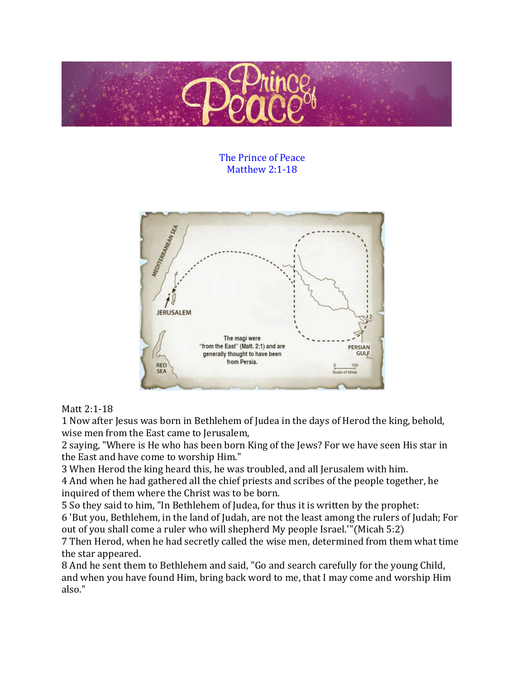

The Prince of Peace Matthew 2:1-18



## Matt 2:1-18

1 Now after Jesus was born in Bethlehem of Judea in the days of Herod the king, behold, wise men from the East came to Jerusalem,

2 saying, "Where is He who has been born King of the Jews? For we have seen His star in the East and have come to worship Him."

3 When Herod the king heard this, he was troubled, and all Jerusalem with him.

4 And when he had gathered all the chief priests and scribes of the people together, he inquired of them where the Christ was to be born.

5 So they said to him, "In Bethlehem of Judea, for thus it is written by the prophet: 6 'But you, Bethlehem, in the land of Judah, are not the least among the rulers of Judah; For out of you shall come a ruler who will shepherd My people Israel.'"(Micah 5:2)

7 Then Herod, when he had secretly called the wise men, determined from them what time the star appeared.

8 And he sent them to Bethlehem and said, "Go and search carefully for the young Child, and when you have found Him, bring back word to me, that I may come and worship Him also."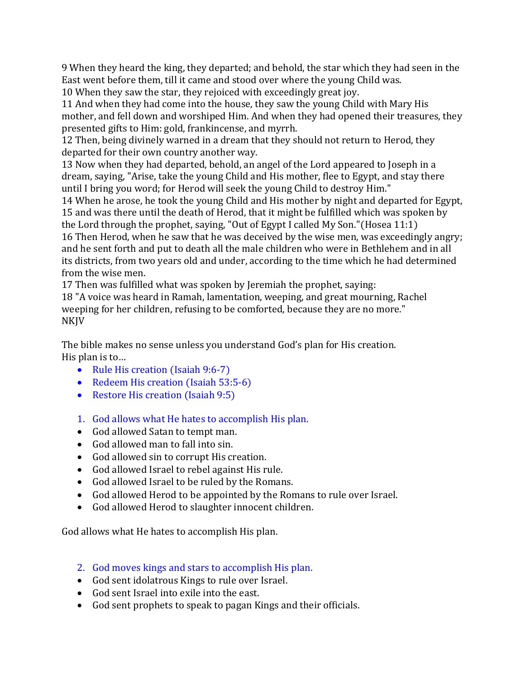9 When they heard the king, they departed; and behold, the star which they had seen in the East went before them, till it came and stood over where the young Child was.

10 When they saw the star, they rejoiced with exceedingly great joy.

11 And when they had come into the house, they saw the young Child with Mary His mother, and fell down and worshiped Him. And when they had opened their treasures, they presented gifts to Him: gold, frankincense, and myrrh.

12 Then, being divinely warned in a dream that they should not return to Herod, they departed for their own country another way.

13 Now when they had departed, behold, an angel of the Lord appeared to Joseph in a dream, saying, "Arise, take the young Child and His mother, flee to Egypt, and stay there until I bring you word; for Herod will seek the young Child to destroy Him."

14 When he arose, he took the young Child and His mother by night and departed for Egypt, 15 and was there until the death of Herod, that it might be fulfilled which was spoken by the Lord through the prophet, saying, "Out of Egypt I called My Son."(Hosea 11:1)

16 Then Herod, when he saw that he was deceived by the wise men, was exceedingly angry; and he sent forth and put to death all the male children who were in Bethlehem and in all its districts, from two years old and under, according to the time which he had determined from the wise men.

17 Then was fulfilled what was spoken by Jeremiah the prophet, saying:

18 "A voice was heard in Ramah, lamentation, weeping, and great mourning, Rachel weeping for her children, refusing to be comforted, because they are no more." NKJV

The bible makes no sense unless you understand God's plan for His creation. His plan is to…

- Rule His creation (Isaiah 9:6-7)
- Redeem His creation (Isaiah 53:5-6)
- Restore His creation (Isaiah 9:5)
- 1. God allows what He hates to accomplish His plan.
- God allowed Satan to tempt man.
- God allowed man to fall into sin.
- God allowed sin to corrupt His creation.
- God allowed Israel to rebel against His rule.
- God allowed Israel to be ruled by the Romans.
- God allowed Herod to be appointed by the Romans to rule over Israel.
- God allowed Herod to slaughter innocent children.

God allows what He hates to accomplish His plan.

- 2. God moves kings and stars to accomplish His plan.
- God sent idolatrous Kings to rule over Israel.
- God sent Israel into exile into the east.
- God sent prophets to speak to pagan Kings and their officials.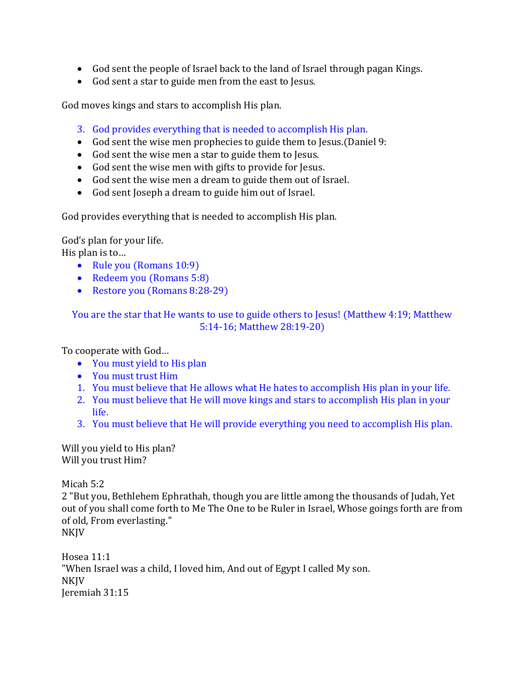- God sent the people of Israel back to the land of Israel through pagan Kings.
- God sent a star to guide men from the east to Jesus.

God moves kings and stars to accomplish His plan.

- 3. God provides everything that is needed to accomplish His plan.
- God sent the wise men prophecies to guide them to Jesus.(Daniel 9:
- God sent the wise men a star to guide them to Jesus.
- God sent the wise men with gifts to provide for Jesus.
- God sent the wise men a dream to guide them out of Israel.
- God sent Joseph a dream to guide him out of Israel.

God provides everything that is needed to accomplish His plan.

God's plan for your life. His plan is to…

- Rule you (Romans 10:9)
- Redeem you (Romans 5:8)
- Restore you (Romans 8:28-29)

You are the star that He wants to use to guide others to Jesus! (Matthew 4:19; Matthew 5:14-16; Matthew 28:19-20)

To cooperate with God…

- You must yield to His plan
- You must trust Him
- 1. You must believe that He allows what He hates to accomplish His plan in your life.
- 2. You must believe that He will move kings and stars to accomplish His plan in your life.
- 3. You must believe that He will provide everything you need to accomplish His plan.

Will you yield to His plan? Will you trust Him?

Micah 5:2

2 "But you, Bethlehem Ephrathah, though you are little among the thousands of Judah, Yet out of you shall come forth to Me The One to be Ruler in Israel, Whose goings forth are from of old, From everlasting." NKJV

Hosea 11:1 "When Israel was a child, I loved him, And out of Egypt I called My son. NKJV Jeremiah 31:15